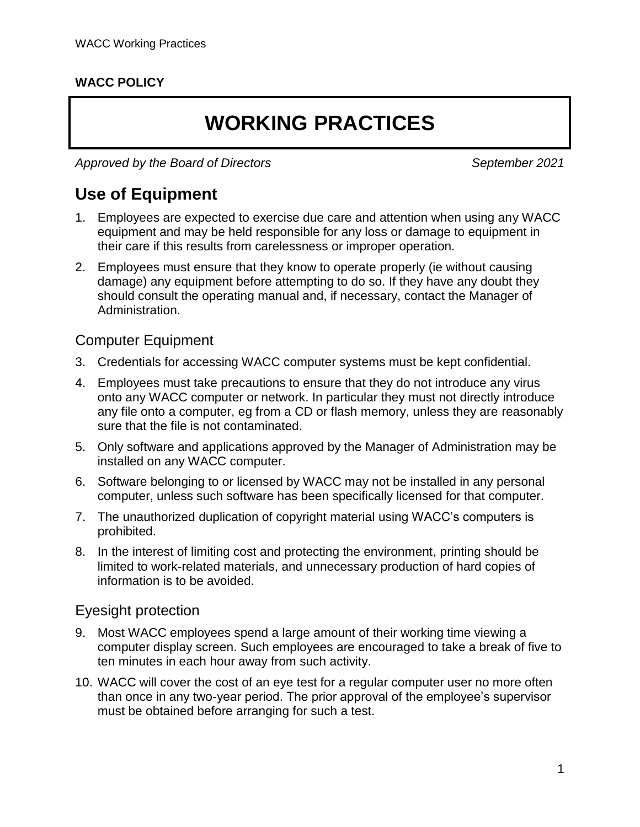#### **WACC POLICY**

# **WORKING PRACTICES**

*Approved by the Board of Directors September 2021*

### **Use of Equipment**

- 1. Employees are expected to exercise due care and attention when using any WACC equipment and may be held responsible for any loss or damage to equipment in their care if this results from carelessness or improper operation.
- 2. Employees must ensure that they know to operate properly (ie without causing damage) any equipment before attempting to do so. If they have any doubt they should consult the operating manual and, if necessary, contact the Manager of Administration.

#### Computer Equipment

- 3. Credentials for accessing WACC computer systems must be kept confidential.
- 4. Employees must take precautions to ensure that they do not introduce any virus onto any WACC computer or network. In particular they must not directly introduce any file onto a computer, eg from a CD or flash memory, unless they are reasonably sure that the file is not contaminated.
- 5. Only software and applications approved by the Manager of Administration may be installed on any WACC computer.
- 6. Software belonging to or licensed by WACC may not be installed in any personal computer, unless such software has been specifically licensed for that computer.
- 7. The unauthorized duplication of copyright material using WACC's computers is prohibited.
- 8. In the interest of limiting cost and protecting the environment, printing should be limited to work-related materials, and unnecessary production of hard copies of information is to be avoided.

#### Eyesight protection

- 9. Most WACC employees spend a large amount of their working time viewing a computer display screen. Such employees are encouraged to take a break of five to ten minutes in each hour away from such activity.
- 10. WACC will cover the cost of an eye test for a regular computer user no more often than once in any two-year period. The prior approval of the employee's supervisor must be obtained before arranging for such a test.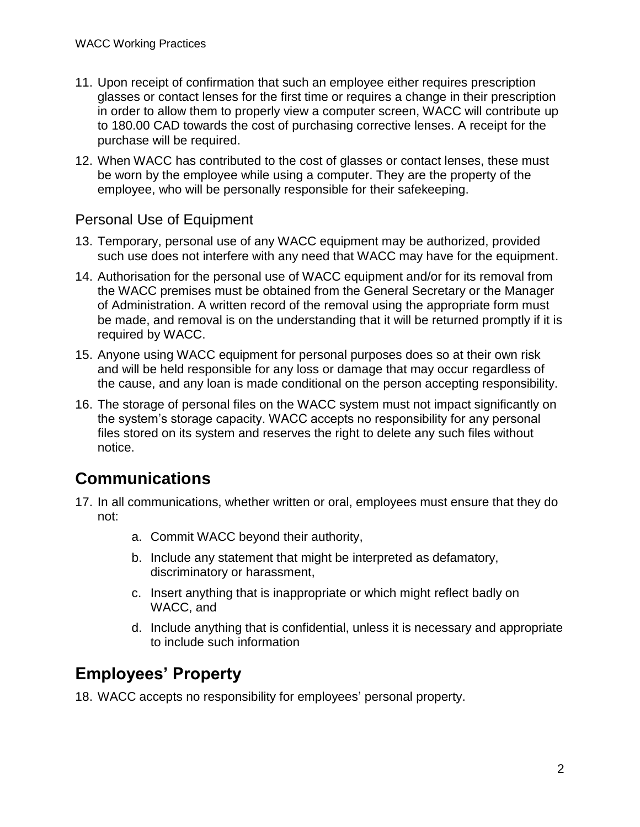- 11. Upon receipt of confirmation that such an employee either requires prescription glasses or contact lenses for the first time or requires a change in their prescription in order to allow them to properly view a computer screen, WACC will contribute up to 180.00 CAD towards the cost of purchasing corrective lenses. A receipt for the purchase will be required.
- 12. When WACC has contributed to the cost of glasses or contact lenses, these must be worn by the employee while using a computer. They are the property of the employee, who will be personally responsible for their safekeeping.

#### Personal Use of Equipment

- 13. Temporary, personal use of any WACC equipment may be authorized, provided such use does not interfere with any need that WACC may have for the equipment.
- 14. Authorisation for the personal use of WACC equipment and/or for its removal from the WACC premises must be obtained from the General Secretary or the Manager of Administration. A written record of the removal using the appropriate form must be made, and removal is on the understanding that it will be returned promptly if it is required by WACC.
- 15. Anyone using WACC equipment for personal purposes does so at their own risk and will be held responsible for any loss or damage that may occur regardless of the cause, and any loan is made conditional on the person accepting responsibility.
- 16. The storage of personal files on the WACC system must not impact significantly on the system's storage capacity. WACC accepts no responsibility for any personal files stored on its system and reserves the right to delete any such files without notice.

## **Communications**

- 17. In all communications, whether written or oral, employees must ensure that they do not:
	- a. Commit WACC beyond their authority,
	- b. Include any statement that might be interpreted as defamatory, discriminatory or harassment,
	- c. Insert anything that is inappropriate or which might reflect badly on WACC, and
	- d. Include anything that is confidential, unless it is necessary and appropriate to include such information

## **Employees' Property**

18. WACC accepts no responsibility for employees' personal property.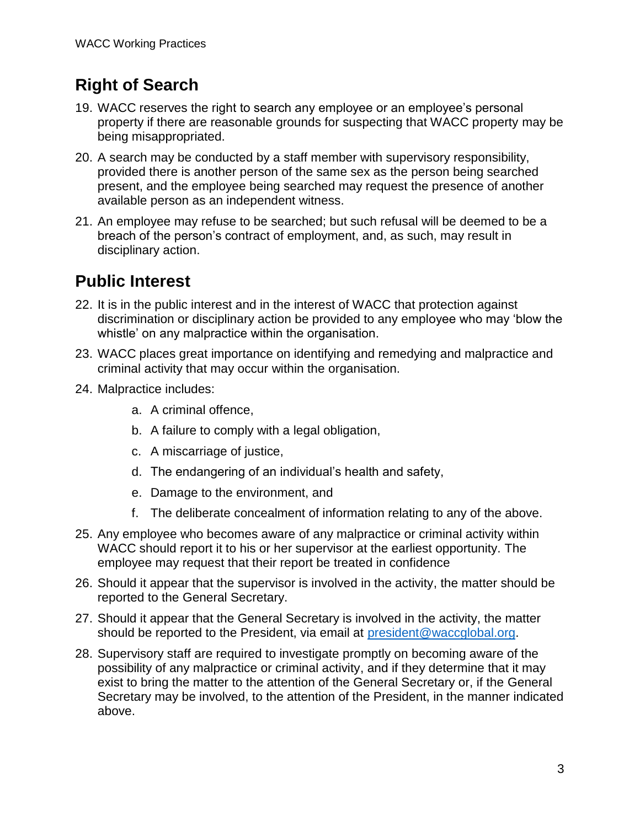## **Right of Search**

- 19. WACC reserves the right to search any employee or an employee's personal property if there are reasonable grounds for suspecting that WACC property may be being misappropriated.
- 20. A search may be conducted by a staff member with supervisory responsibility, provided there is another person of the same sex as the person being searched present, and the employee being searched may request the presence of another available person as an independent witness.
- 21. An employee may refuse to be searched; but such refusal will be deemed to be a breach of the person's contract of employment, and, as such, may result in disciplinary action.

## **Public Interest**

- 22. It is in the public interest and in the interest of WACC that protection against discrimination or disciplinary action be provided to any employee who may 'blow the whistle' on any malpractice within the organisation.
- 23. WACC places great importance on identifying and remedying and malpractice and criminal activity that may occur within the organisation.
- 24. Malpractice includes:
	- a. A criminal offence,
	- b. A failure to comply with a legal obligation,
	- c. A miscarriage of justice,
	- d. The endangering of an individual's health and safety,
	- e. Damage to the environment, and
	- f. The deliberate concealment of information relating to any of the above.
- 25. Any employee who becomes aware of any malpractice or criminal activity within WACC should report it to his or her supervisor at the earliest opportunity. The employee may request that their report be treated in confidence
- 26. Should it appear that the supervisor is involved in the activity, the matter should be reported to the General Secretary.
- 27. Should it appear that the General Secretary is involved in the activity, the matter should be reported to the President, via email at [president@waccglobal.org.](mailto:president@waccglobal.org)
- 28. Supervisory staff are required to investigate promptly on becoming aware of the possibility of any malpractice or criminal activity, and if they determine that it may exist to bring the matter to the attention of the General Secretary or, if the General Secretary may be involved, to the attention of the President, in the manner indicated above.